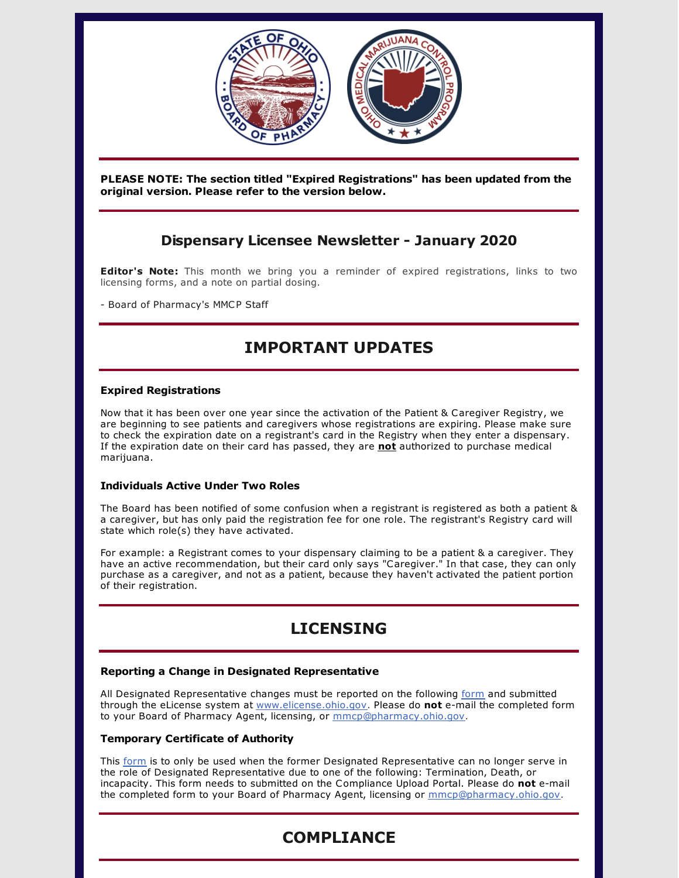

**PLEASE NOTE: The section titled "Expired Registrations" has been updated from the original version. Please refer to the version below.**

## **Dispensary Licensee Newsletter - January 2020**

**Editor's Note:** This month we bring you a reminder of expired registrations, links to two licensing forms, and a note on partial dosing.

- Board of Pharmacy's MMCP Staff

# **IMPORTANT UPDATES**

### **Expired Registrations**

Now that it has been over one year since the activation of the Patient & Caregiver Registry, we are beginning to see patients and caregivers whose registrations are expiring. Please make sure to check the expiration date on a registrant's card in the Registry when they enter a dispensary. If the expiration date on their card has passed, they are **not** authorized to purchase medical marijuana.

#### **Individuals Active Under Two Roles**

The Board has been notified of some confusion when a registrant is registered as both a patient & a caregiver, but has only paid the registration fee for one role. The registrant's Registry card will state which role(s) they have activated.

For example: a Registrant comes to your dispensary claiming to be a patient & a caregiver. They have an active recommendation, but their card only says "Caregiver." In that case, they can only purchase as a caregiver, and not as a patient, because they haven't activated the patient portion of their registration.

# **LICENSING**

### **Reporting a Change in Designated Representative**

All Designated Representative changes must be reported on the following [form](https://gcc01.safelinks.protection.outlook.com/?url=https%3A%2F%2Fmedicalmarijuana.ohio.gov%2FDocuments%2FLicenseeResources%2FDispensary%2520Licensee%2520Resources%2FDISPENSARY%2520GENERAL%2520OPERATIONS%2FDispensary%2520Change%2520of%2520Designated%2520Representative.pdf&data=02%7C01%7Cgrant.miller%40pharmacy.ohio.gov%7C49c8d2cdf54649f6ebf308d7a03ca968%7C50f8fcc494d84f0784eb36ed57c7c8a2%7C0%7C1%7C637154054710001825&sdata=7qdWQM4qYlPaIOYOcm0gt%2BKmaLMADiWP4pnxCy8THOY%3D&reserved=0) and submitted through the eLicense system at [www.elicense.ohio.gov](https://gcc01.safelinks.protection.outlook.com/?url=http%3A%2F%2Fwww.elicense.ohio.gov%2F&data=02%7C01%7Cgrant.miller%40pharmacy.ohio.gov%7C49c8d2cdf54649f6ebf308d7a03ca968%7C50f8fcc494d84f0784eb36ed57c7c8a2%7C0%7C1%7C637154054710011778&sdata=0B6dDVOQFbJXCNfyk2GPZBtfFz6bFoib4AKriOrQa50%3D&reserved=0). Please do **not** e-mail the completed form to your Board of Pharmacy Agent, licensing, or [mmcp@pharmacy.ohio.gov](mailto:mmcp@pharmacy.ohio.gov).

### **Temporary Certificate of Authority**

This [form](https://medicalmarijuana.ohio.gov/Documents/LicenseeResources/Dispensary Licensee Resources/Forms and Guidance for Compliance Upload Portal/Temporary Certificate of Authority for Designated Representative.pdf) is to only be used when the former Designated Representative can no longer serve in the role of Designated Representative due to one of the following: Termination, Death, or incapacity. This form needs to submitted on the Compliance Upload Portal. Please do **not** e-mail the completed form to your Board of Pharmacy Agent, licensing or [mmcp@pharmacy.ohio.gov](mailto:mmcp@pharmacy.ohio.gov).

# **COMPLIANCE**